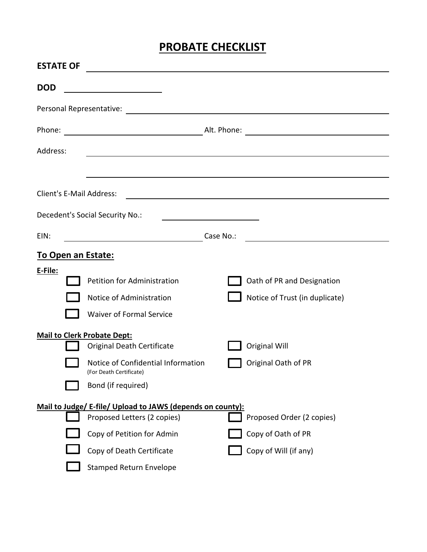## **PROBATE CHECKLIST**

| <b>ESTATE OF</b>                |                                                                                                                                                                                        |  |                                                                          |  |  |  |
|---------------------------------|----------------------------------------------------------------------------------------------------------------------------------------------------------------------------------------|--|--------------------------------------------------------------------------|--|--|--|
| <b>DOD</b>                      | <u> 1980 - Johann Barbara, martin a</u>                                                                                                                                                |  |                                                                          |  |  |  |
|                                 |                                                                                                                                                                                        |  |                                                                          |  |  |  |
|                                 |                                                                                                                                                                                        |  |                                                                          |  |  |  |
| Address:                        | <u> 1989 - Johann Johann Harry Harry Harry Harry Harry Harry Harry Harry Harry Harry Harry Harry Harry Harry Harry</u>                                                                 |  |                                                                          |  |  |  |
|                                 |                                                                                                                                                                                        |  |                                                                          |  |  |  |
| <b>Client's E-Mail Address:</b> |                                                                                                                                                                                        |  |                                                                          |  |  |  |
| Decedent's Social Security No.: |                                                                                                                                                                                        |  |                                                                          |  |  |  |
| EIN:                            | Case No.:<br><u> 1990 - Johann Barbara, martin a</u>                                                                                                                                   |  |                                                                          |  |  |  |
| <b>To Open an Estate:</b>       |                                                                                                                                                                                        |  |                                                                          |  |  |  |
| E-File:                         | Petition for Administration<br>Notice of Administration<br><b>Waiver of Formal Service</b>                                                                                             |  | Oath of PR and Designation<br>Notice of Trust (in duplicate)             |  |  |  |
|                                 | <b>Mail to Clerk Probate Dept:</b><br><b>Original Death Certificate</b><br>Notice of Confidential Information<br>(For Death Certificate)<br>Bond (if required)                         |  | <b>Original Will</b><br>Original Oath of PR                              |  |  |  |
|                                 | Mail to Judge/ E-file/ Upload to JAWS (depends on county):<br>Proposed Letters (2 copies)<br>Copy of Petition for Admin<br>Copy of Death Certificate<br><b>Stamped Return Envelope</b> |  | Proposed Order (2 copies)<br>Copy of Oath of PR<br>Copy of Will (if any) |  |  |  |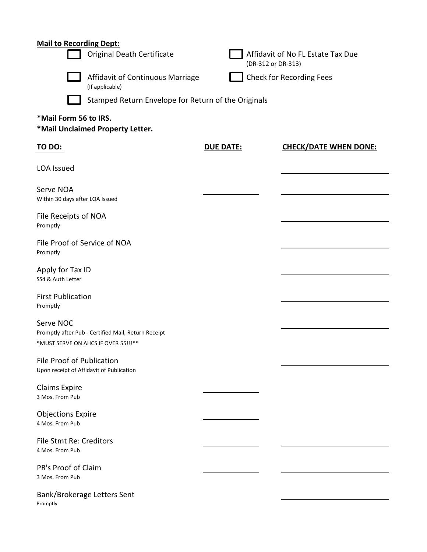## **Mail to Recording Dept:**

|                                                                                                          | <b>Original Death Certificate</b>                   |                  | Affidavit of No FL Estate Tax Due<br>(DR-312 or DR-313) |  |  |  |  |  |
|----------------------------------------------------------------------------------------------------------|-----------------------------------------------------|------------------|---------------------------------------------------------|--|--|--|--|--|
| Affidavit of Continuous Marriage<br>(If applicable)                                                      |                                                     |                  | <b>Check for Recording Fees</b>                         |  |  |  |  |  |
|                                                                                                          | Stamped Return Envelope for Return of the Originals |                  |                                                         |  |  |  |  |  |
| *Mail Form 56 to IRS.<br>*Mail Unclaimed Property Letter.                                                |                                                     |                  |                                                         |  |  |  |  |  |
| TO DO:                                                                                                   |                                                     | <b>DUE DATE:</b> | <b>CHECK/DATE WHEN DONE:</b>                            |  |  |  |  |  |
| <b>LOA Issued</b>                                                                                        |                                                     |                  |                                                         |  |  |  |  |  |
| Serve NOA<br>Within 30 days after LOA Issued                                                             |                                                     |                  |                                                         |  |  |  |  |  |
| File Receipts of NOA<br>Promptly                                                                         |                                                     |                  |                                                         |  |  |  |  |  |
| File Proof of Service of NOA<br>Promptly                                                                 |                                                     |                  |                                                         |  |  |  |  |  |
| Apply for Tax ID<br>SS4 & Auth Letter                                                                    |                                                     |                  |                                                         |  |  |  |  |  |
| <b>First Publication</b><br>Promptly                                                                     |                                                     |                  |                                                         |  |  |  |  |  |
| Serve NOC<br>Promptly after Pub - Certified Mail, Return Receipt<br>*MUST SERVE ON AHCS IF OVER 55!!! ** |                                                     |                  |                                                         |  |  |  |  |  |
| File Proof of Publication<br>Upon receipt of Affidavit of Publication                                    |                                                     |                  |                                                         |  |  |  |  |  |
| <b>Claims Expire</b><br>3 Mos. From Pub                                                                  |                                                     |                  |                                                         |  |  |  |  |  |
| <b>Objections Expire</b><br>4 Mos. From Pub                                                              |                                                     |                  |                                                         |  |  |  |  |  |
| File Stmt Re: Creditors<br>4 Mos. From Pub                                                               |                                                     |                  |                                                         |  |  |  |  |  |
| PR's Proof of Claim<br>3 Mos. From Pub                                                                   |                                                     |                  |                                                         |  |  |  |  |  |
| Bank/Brokerage Letters Sent<br>Promptly                                                                  |                                                     |                  |                                                         |  |  |  |  |  |